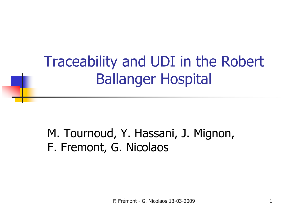## Traceability and UDI in the Robert Ballanger Hospital

### M. Tournoud, Y. Hassani, J. Mignon, F. Fremont, G. Nicolaos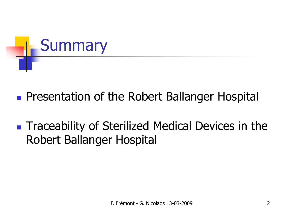

- **Service Service Presentation of the Robert Ballanger Hospital**
- **Service Service Traceability of Sterilized Medical Devices in the** Robert Ballanger Hospital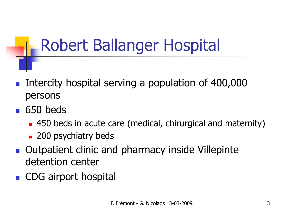# Robert Ballanger Hospital

- H **Intercity hospital serving a population of 400,000** persons
- H ■ 650 beds
	- × 450 beds in acute care (medical, chirurgical and maternity)
	- × **200 psychiatry beds**
- H **Qutpatient clinic and pharmacy inside Villepinte** detention center
- H ■ CDG airport hospital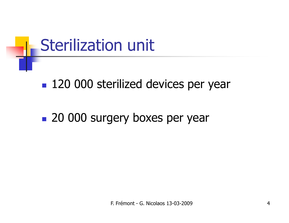# Sterilization unit

#### ■ 120 000 sterilized devices per year

### **20 000 surgery boxes per year**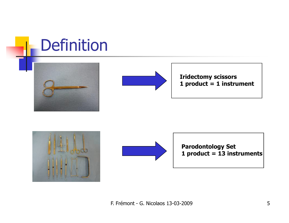## Definition





Iridectomy scissors1 product = 1 instrument





Parodontology Set1 product = 13 instruments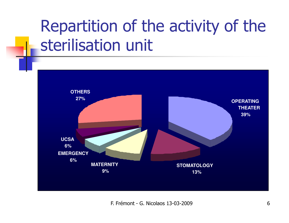# Repartition of the activity of the sterilisation unit

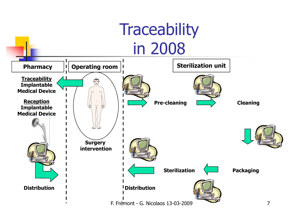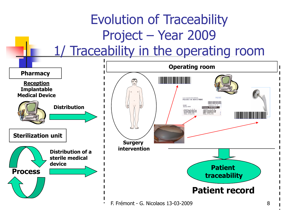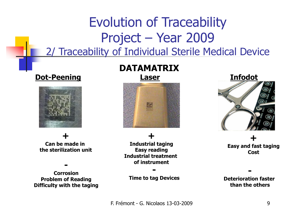### Evolution of TraceabilityProject – Year 2009 2/ Traceability of Individual Sterile Medical Device

#### Dot-Peening



+Can be made in the sterilization unit

 Corrosion Problem of ReadingDifficulty with the taging

-

### DATAMATRIX



+ Industrial tagingEasy reading Industrial treatment of instrument

Time to tag Devices

-



+ Easy and fast tagingCost

 Deterioration faster than the others

-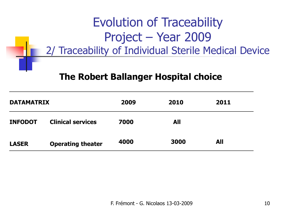### Evolution of TraceabilityProject – Year 2009 2/ Traceability of Individual Sterile Medical Device

#### The Robert Ballanger Hospital choice

| <b>DATAMATRIX</b> |                          | 2009 | 2010       | 2011       |  |
|-------------------|--------------------------|------|------------|------------|--|
| <b>INFODOT</b>    | <b>Clinical services</b> | 7000 | <b>All</b> |            |  |
| <b>LASER</b>      | <b>Operating theater</b> | 4000 | 3000       | <b>All</b> |  |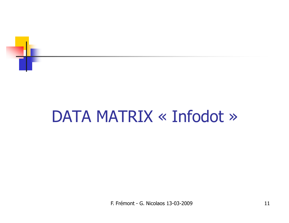

#### DATA MATRIX « Infodot »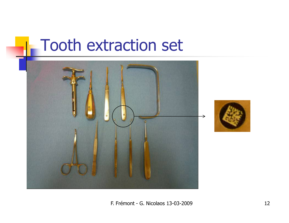### Tooth extraction set

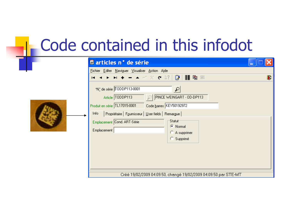# Code contained in this infodot

| # articles n° de série                                                                                                                                                                                                                                                                                                                                                                                  |   |
|---------------------------------------------------------------------------------------------------------------------------------------------------------------------------------------------------------------------------------------------------------------------------------------------------------------------------------------------------------------------------------------------------------|---|
| Fichier Editer Naviguer Visualiser Action Aide                                                                                                                                                                                                                                                                                                                                                          |   |
| - ▲ ≪ ∝ ♥ ☆?│ ❷ │ ∭   电   ⊞<br>н                                                                                                                                                                                                                                                                                                                                                                        | 霏 |
| *N° de série T0DDP113-0001<br>$\varphi$<br>Article TODDP113<br>PINCE WEINGART - OD-DP113<br>Code barres KEY50192972<br>Produit en série TL17015-0001<br>Propriétaire   Fournisseur   User fields   Remargue  <br>Info<br>'Statut <del>'</del><br>Emplacement Cond. ART-Série<br>C Normal<br>Emplacement<br>A supprimer<br>C Supprimé<br>Créé 19/02/2009 04:09:50, changé 19/02/2009 04:09:50 par STE-MT |   |
|                                                                                                                                                                                                                                                                                                                                                                                                         |   |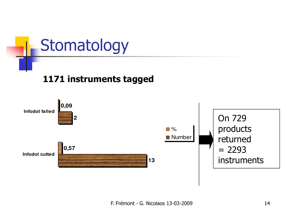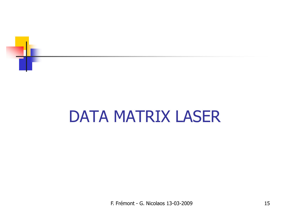

## DATA MATRIX LASER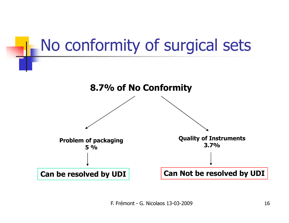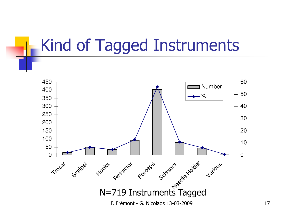## Kind of Tagged Instruments

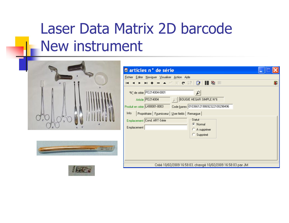## Laser Data Matrix 2D barcodeNew instrument







| # articles n° de série                                                                                                                                                                                                                                                                                                             |   |
|------------------------------------------------------------------------------------------------------------------------------------------------------------------------------------------------------------------------------------------------------------------------------------------------------------------------------------|---|
| Fichier Editer Naviguer Visualiser Action Aide                                                                                                                                                                                                                                                                                     |   |
| н                                                                                                                                                                                                                                                                                                                                  | 龗 |
| *N° de série P0214004-0001<br>Ω<br>  BOUGIE HEGAR SIMPLE N°6<br>Article P0214004<br>Code barres 01036612190692322100298496<br>Produit en série L490001-0003<br>Info<br>Propriétaire   Fournisseur   User fields   Remargue<br>Statut<br>Emplacement Cond. ART-Série<br>C Normal<br><b>Emplacement</b><br>A supprimer<br>C Supprimé |   |
| Créé 10/02/2009 16:58:03, changé 10/02/2009 16:58:03 par JM                                                                                                                                                                                                                                                                        |   |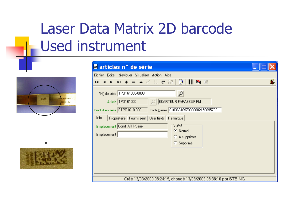## Laser Data Matrix 2D barcodeUsed instrument



| # articles n° de série                                                                                                                                                                                                                                                                                                                            |   |
|---------------------------------------------------------------------------------------------------------------------------------------------------------------------------------------------------------------------------------------------------------------------------------------------------------------------------------------------------|---|
| Fichier Editer Naviguer Visualiser Action Aide                                                                                                                                                                                                                                                                                                    |   |
| - ▲ - ◇ ※ ♥ 詔│貸│     暭 圃                                                                                                                                                                                                                                                                                                                          | T |
| *N* de série TP0161000-0009<br>₽<br>C ECARTEUR FARABEUF PM<br>Article TP0161000<br>Code barres 01036616970000002150095700<br>Produit en série ETP01610-0001<br>Info<br>Propriétaire   Fournisseur   User fields   Remargue  <br>'Statut <sup></sup><br>Emplacement Cond. ART-Série<br>C Normal<br><b>Emplacement</b><br>A supprimer<br>C Supprimé |   |
| Créé 13/03/2009 08:24:19, changé 13/03/2009 08:38:10 par STE-NG                                                                                                                                                                                                                                                                                   |   |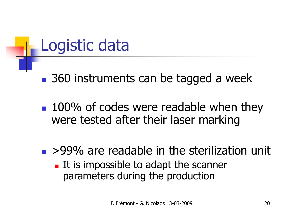## Logistic data

**Service Service** ■ 360 instruments can be tagged a week

**100% of codes were readable when they** were tested after their laser marking

### ■ >99% are readable in the sterilization unit

a, It is impossible to adapt the scanner parameters during the production